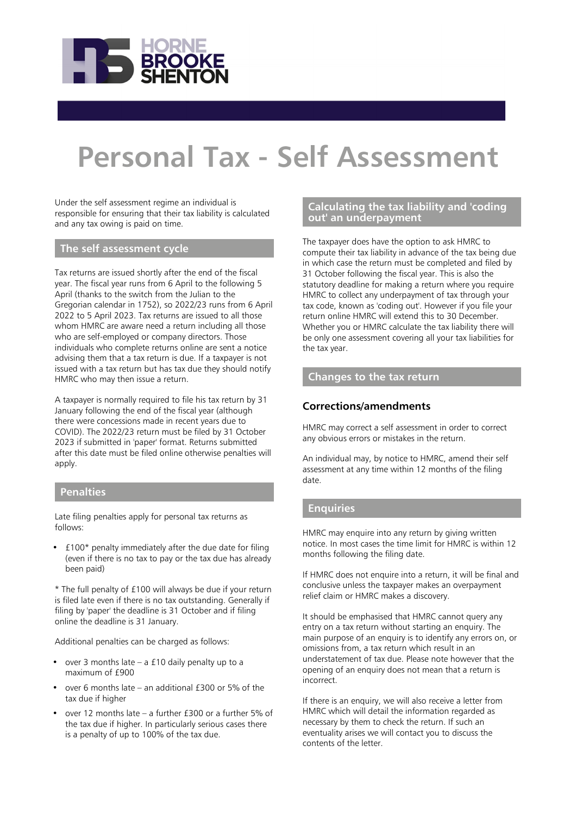

# **Personal Tax - Self Assessment**

Under the self assessment regime an individual is responsible for ensuring that their tax liability is calculated and any tax owing is paid on time.

# **The self assessment cycle**

Tax returns are issued shortly after the end of the fiscal year. The fiscal year runs from 6 April to the following 5 April (thanks to the switch from the Julian to the Gregorian calendar in 1752), so 2022/23 runs from 6 April 2022 to 5 April 2023. Tax returns are issued to all those whom HMRC are aware need a return including all those who are self-employed or company directors. Those individuals who complete returns online are sent a notice advising them that a tax return is due. If a taxpayer is not issued with a tax return but has tax due they should notify HMRC who may then issue a return.

A taxpayer is normally required to file his tax return by 31 January following the end of the fiscal year (although there were concessions made in recent years due to COVID). The 2022/23 return must be filed by 31 October 2023 if submitted in 'paper' format. Returns submitted after this date must be filed online otherwise penalties will apply.

# **Penalties**

Late filing penalties apply for personal tax returns as follows:

• £100\* penalty immediately after the due date for filing (even if there is no tax to pay or the tax due has already been paid)

\* The full penalty of £100 will always be due if your return is filed late even if there is no tax outstanding. Generally if filing by 'paper' the deadline is 31 October and if filing online the deadline is 31 January.

Additional penalties can be charged as follows:

- over 3 months late  $-$  a £10 daily penalty up to a  $maximum of f900$
- over 6 months late an additional £300 or 5% of the tax due if higher
- over 12 months late a further £300 or a further 5% of the tax due if higher. In particularly serious cases there is a penalty of up to 100% of the tax due.

# **Calculating the tax liability and 'coding out' an underpayment**

The taxpayer does have the option to ask HMRC to compute their tax liability in advance of the tax being due in which case the return must be completed and filed by 31 October following the fiscal year. This is also the statutory deadline for making a return where you require HMRC to collect any underpayment of tax through your tax code, known as 'coding out'. However if you file your return online HMRC will extend this to 30 December. Whether you or HMRC calculate the tax liability there will be only one assessment covering all your tax liabilities for the tax year.

# **Changes to the tax return**

# **Corrections/amendments**

HMRC may correct a self assessment in order to correct any obvious errors or mistakes in the return.

An individual may, by notice to HMRC, amend their self assessment at any time within 12 months of the filing date.

#### **Enquiries**

HMRC may enquire into any return by giving written notice. In most cases the time limit for HMRC is within 12 months following the filing date.

If HMRC does not enquire into a return, it will be final and conclusive unless the taxpayer makes an overpayment relief claim or HMRC makes a discovery.

It should be emphasised that HMRC cannot query any entry on a tax return without starting an enquiry. The main purpose of an enquiry is to identify any errors on, or omissions from, a tax return which result in an understatement of tax due. Please note however that the opening of an enquiry does not mean that a return is incorrect.

If there is an enquiry, we will also receive a letter from HMRC which will detail the information regarded as necessary by them to check the return. If such an eventuality arises we will contact you to discuss the contents of the letter.